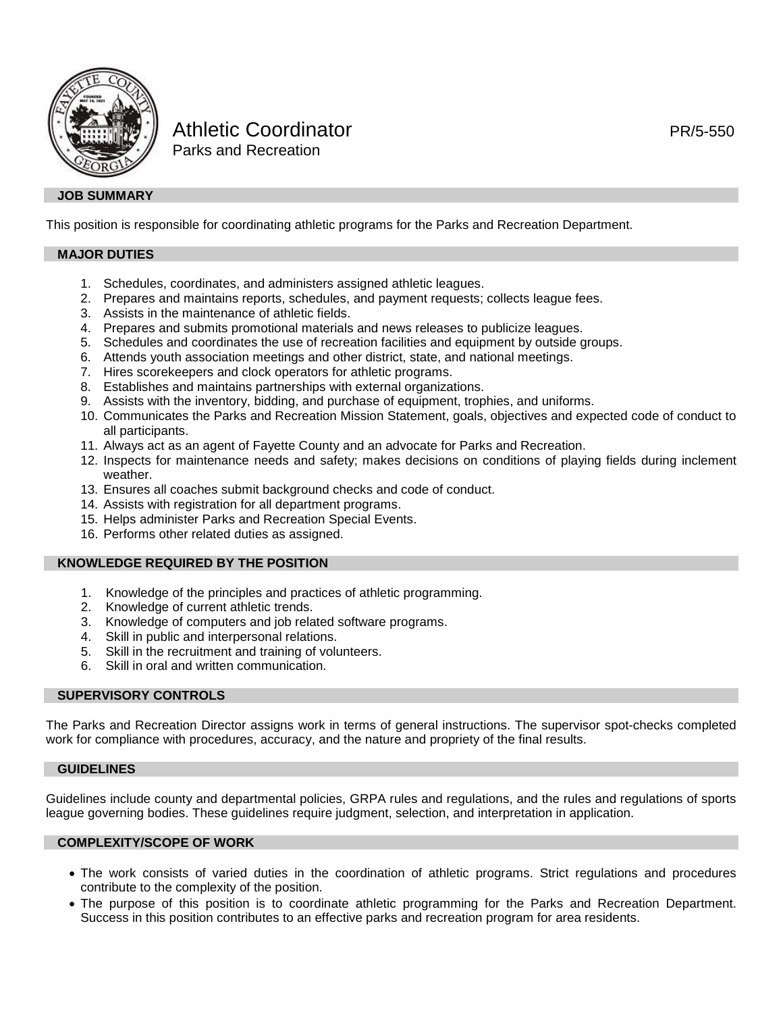

# Athletic Coordinator **PR/5-550** Parks and Recreation

### **JOB SUMMARY**

This position is responsible for coordinating athletic programs for the Parks and Recreation Department.

# **MAJOR DUTIES**

- 1. Schedules, coordinates, and administers assigned athletic leagues.
- 2. Prepares and maintains reports, schedules, and payment requests; collects league fees.
- 3. Assists in the maintenance of athletic fields.
- 4. Prepares and submits promotional materials and news releases to publicize leagues.
- 5. Schedules and coordinates the use of recreation facilities and equipment by outside groups.
- 6. Attends youth association meetings and other district, state, and national meetings.
- 7. Hires scorekeepers and clock operators for athletic programs.
- 8. Establishes and maintains partnerships with external organizations.
- 9. Assists with the inventory, bidding, and purchase of equipment, trophies, and uniforms.
- 10. Communicates the Parks and Recreation Mission Statement, goals, objectives and expected code of conduct to all participants.
- 11. Always act as an agent of Fayette County and an advocate for Parks and Recreation.
- 12. Inspects for maintenance needs and safety; makes decisions on conditions of playing fields during inclement weather.
- 13. Ensures all coaches submit background checks and code of conduct.
- 14. Assists with registration for all department programs.
- 15. Helps administer Parks and Recreation Special Events.
- 16. Performs other related duties as assigned.

# **KNOWLEDGE REQUIRED BY THE POSITION**

- 1. Knowledge of the principles and practices of athletic programming.
- 2. Knowledge of current athletic trends.
- 3. Knowledge of computers and job related software programs.
- 4. Skill in public and interpersonal relations.
- 5. Skill in the recruitment and training of volunteers.
- 6. Skill in oral and written communication.

# **SUPERVISORY CONTROLS**

The Parks and Recreation Director assigns work in terms of general instructions. The supervisor spot-checks completed work for compliance with procedures, accuracy, and the nature and propriety of the final results.

#### **GUIDELINES**

Guidelines include county and departmental policies, GRPA rules and regulations, and the rules and regulations of sports league governing bodies. These guidelines require judgment, selection, and interpretation in application.

#### **COMPLEXITY/SCOPE OF WORK**

- The work consists of varied duties in the coordination of athletic programs. Strict regulations and procedures contribute to the complexity of the position.
- The purpose of this position is to coordinate athletic programming for the Parks and Recreation Department. Success in this position contributes to an effective parks and recreation program for area residents.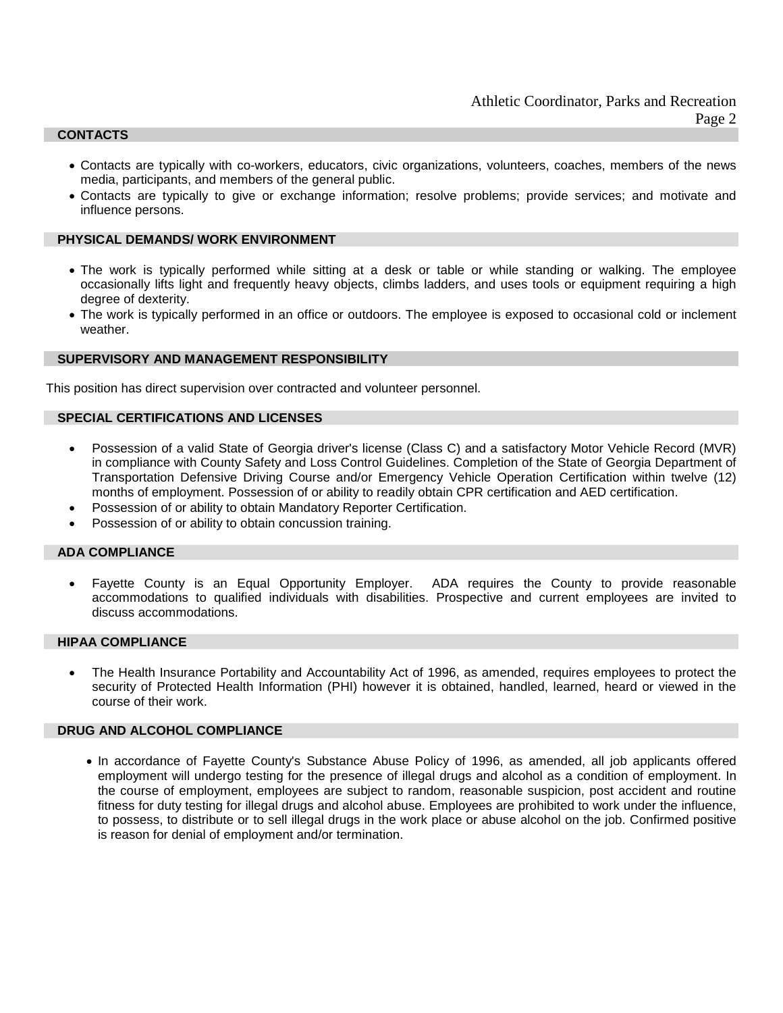### **CONTACTS**

- Contacts are typically with co-workers, educators, civic organizations, volunteers, coaches, members of the news media, participants, and members of the general public.
- Contacts are typically to give or exchange information; resolve problems; provide services; and motivate and influence persons.

## **PHYSICAL DEMANDS/ WORK ENVIRONMENT**

- The work is typically performed while sitting at a desk or table or while standing or walking. The employee occasionally lifts light and frequently heavy objects, climbs ladders, and uses tools or equipment requiring a high degree of dexterity.
- The work is typically performed in an office or outdoors. The employee is exposed to occasional cold or inclement weather.

# **SUPERVISORY AND MANAGEMENT RESPONSIBILITY**

This position has direct supervision over contracted and volunteer personnel.

#### **SPECIAL CERTIFICATIONS AND LICENSES**

- Possession of a valid State of Georgia driver's license (Class C) and a satisfactory Motor Vehicle Record (MVR) in compliance with County Safety and Loss Control Guidelines. Completion of the State of Georgia Department of Transportation Defensive Driving Course and/or Emergency Vehicle Operation Certification within twelve (12) months of employment. Possession of or ability to readily obtain CPR certification and AED certification.
- Possession of or ability to obtain Mandatory Reporter Certification.
- Possession of or ability to obtain concussion training.

#### **ADA COMPLIANCE**

• Fayette County is an Equal Opportunity Employer. ADA requires the County to provide reasonable accommodations to qualified individuals with disabilities. Prospective and current employees are invited to discuss accommodations.

#### **HIPAA COMPLIANCE**

• The Health Insurance Portability and Accountability Act of 1996, as amended, requires employees to protect the security of Protected Health Information (PHI) however it is obtained, handled, learned, heard or viewed in the course of their work.

## **DRUG AND ALCOHOL COMPLIANCE**

• In accordance of Fayette County's Substance Abuse Policy of 1996, as amended, all job applicants offered employment will undergo testing for the presence of illegal drugs and alcohol as a condition of employment. In the course of employment, employees are subject to random, reasonable suspicion, post accident and routine fitness for duty testing for illegal drugs and alcohol abuse. Employees are prohibited to work under the influence, to possess, to distribute or to sell illegal drugs in the work place or abuse alcohol on the job. Confirmed positive is reason for denial of employment and/or termination.